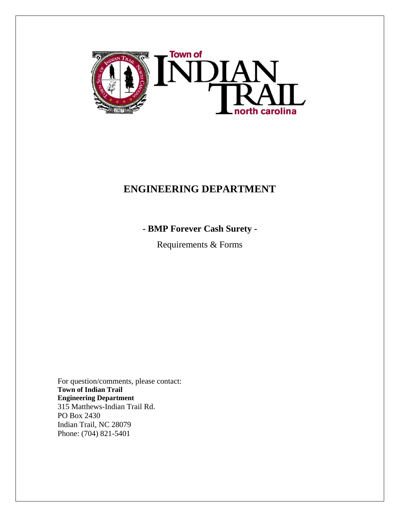

# **ENGINEERING DEPARTMENT**

**- BMP Forever Cash Surety -**

Requirements & Forms

For question/comments, please contact: **Town of Indian Trail Engineering Department** 315 Matthews-Indian Trail Rd. PO Box 2430 Indian Trail, NC 28079 Phone: (704) 821-5401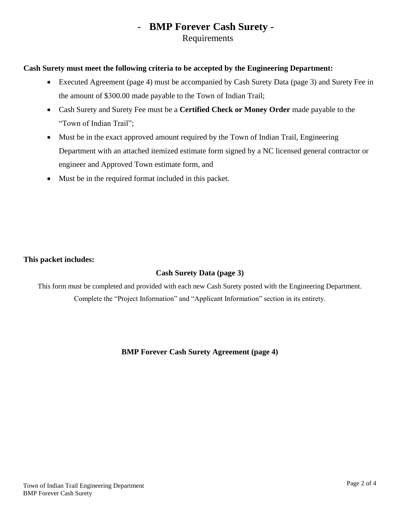## - **BMP Forever Cash Surety -** Requirements

#### **Cash Surety must meet the following criteria to be accepted by the Engineering Department:**

- Executed Agreement (page 4) must be accompanied by Cash Surety Data (page 3) and Surety Fee in the amount of \$300.00 made payable to the Town of Indian Trail;
- Cash Surety and Surety Fee must be a **Certified Check or Money Order** made payable to the "Town of Indian Trail";
- Must be in the exact approved amount required by the Town of Indian Trail, Engineering Department with an attached itemized estimate form signed by a NC licensed general contractor or engineer and Approved Town estimate form, and
- Must be in the required format included in this packet.

### **This packet includes:**

### **Cash Surety Data (page 3)**

This form must be completed and provided with each new Cash Surety posted with the Engineering Department. Complete the "Project Information" and "Applicant Information" section in its entirety.

### **BMP Forever Cash Surety Agreement (page 4)**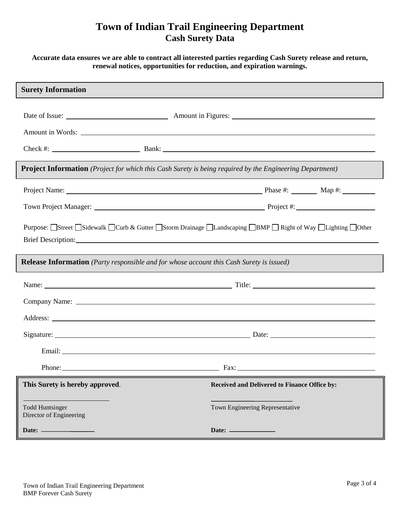## **Town of Indian Trail Engineering Department Cash Surety Data**

#### **Accurate data ensures we are able to contract all interested parties regarding Cash Surety release and return, renewal notices, opportunities for reduction, and expiration warnings.**

| <b>Surety Information</b>                                                                                                                                                                                                      |                                                                           |
|--------------------------------------------------------------------------------------------------------------------------------------------------------------------------------------------------------------------------------|---------------------------------------------------------------------------|
|                                                                                                                                                                                                                                |                                                                           |
|                                                                                                                                                                                                                                |                                                                           |
|                                                                                                                                                                                                                                |                                                                           |
| <b>Project Information</b> (Project for which this Cash Surety is being required by the Engineering Department)                                                                                                                |                                                                           |
| Project Name: Manner Manner Manner Manner Manner Manner Manner Manner Manner Manner Manner Manner Manner Manner                                                                                                                |                                                                           |
|                                                                                                                                                                                                                                |                                                                           |
| Purpose: Street Sidewalk Ocurb & Gutter Storm Drainage OLandscaping OBMP ORight of Way OLighting Other                                                                                                                         |                                                                           |
| Brief Description: New York Contract the Contract of the Contract of the Contract of the Contract of the Contract of the Contract of the Contract of the Contract of the Contract of the Contract of the Contract of the Contr |                                                                           |
| <b>Release Information</b> (Party responsible and for whose account this Cash Surety is issued)                                                                                                                                |                                                                           |
|                                                                                                                                                                                                                                |                                                                           |
| Company Name: Name and All Company Name and All Company Name and All Company Name and All Company Name and All Company of the All Company of the All Company of the All Company of the All Company of the All Company of the A |                                                                           |
|                                                                                                                                                                                                                                |                                                                           |
|                                                                                                                                                                                                                                |                                                                           |
|                                                                                                                                                                                                                                |                                                                           |
|                                                                                                                                                                                                                                |                                                                           |
| This Surety is hereby approved.                                                                                                                                                                                                | Received and Delivered to Finance Office by:                              |
| <b>Todd Huntsinger</b><br>Director of Engineering                                                                                                                                                                              | Town Engineering Representative                                           |
|                                                                                                                                                                                                                                | Date: $\frac{1}{\sqrt{1-\frac{1}{2}}\cdot\frac{1}{\sqrt{1-\frac{1}{2}}}}$ |